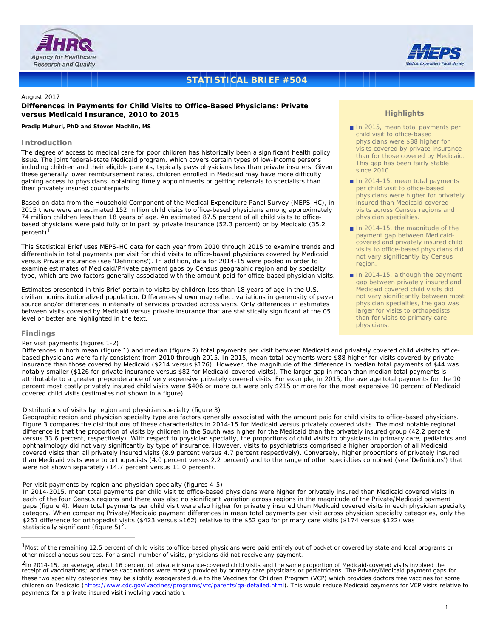



# **STATISTICAL BRIEF #504**

# August 2017

# **Differences in Payments for Child Visits to Office-Based Physicians: Private versus Medicaid Insurance, 2010 to 2015**

#### *Pradip Muhuri, PhD and Steven Machlin, MS*

#### **Introduction**

The degree of access to medical care for poor children has historically been a significant health policy issue. The joint federal-state Medicaid program, which covers certain types of low-income persons including children and their eligible parents, typically pays physicians less than private insurers. Given these generally lower reimbursement rates, children enrolled in Medicaid may have more difficulty gaining access to physicians, obtaining timely appointments or getting referrals to specialists than their privately insured counterparts.

Based on data from the Household Component of the Medical Expenditure Panel Survey (MEPS-HC), in 2015 there were an estimated 152 million child visits to office-based physicians among approximately 74 million children less than 18 years of age. An estimated 87.5 percent of all child visits to officebased physicians were paid fully or in part by private insurance (52.3 percent) or by Medicaid (35.2 percent)1.

This Statistical Brief uses MEPS-HC data for each year from 2010 through 2015 to examine trends and differentials in total payments per visit for child visits to office-based physicians covered by Medicaid versus Private insurance (see 'Definitions'). In addition, data for 2014-15 were pooled in order to examine estimates of Medicaid/Private payment gaps by Census geographic region and by specialty type, which are two factors generally associated with the amount paid for office-based physician visits.

Estimates presented in this Brief pertain to visits by children less than 18 years of age in the U.S. civilian noninstitutionalized population. Differences shown may reflect variations in generosity of payer source and/or differences in intensity of services provided across visits. Only differences in estimates between visits covered by Medicaid versus private insurance that are statistically significant at the.05 level or better are highlighted in the text.

#### **Findings**

# *Per visit payments (figures 1-2)*

Differences in both mean (figure 1) and median (figure 2) total payments per visit between Medicaid and privately covered child visits to officebased physicians were fairly consistent from 2010 through 2015. In 2015, mean total payments were \$88 higher for visits covered by private insurance than those covered by Medicaid (\$214 versus \$126). However, the magnitude of the difference in median total payments of \$44 was notably smaller (\$126 for private insurance versus \$82 for Medicaid-covered visits). The larger gap in mean than median total payments is attributable to a greater preponderance of very expensive privately covered visits. For example, in 2015, the average total payments for the 10 percent most costly privately insured child visits were \$406 or more but were only \$215 or more for the most expensive 10 percent of Medicaid covered child visits (estimates not shown in a figure).

#### *Distributions of visits by region and physician specialty (figure 3)*

Geographic region and physician specialty type are factors generally associated with the amount paid for child visits to office-based physicians. Figure 3 compares the distributions of these characteristics in 2014-15 for Medicaid versus privately covered visits. The most notable regional difference is that the proportion of visits by children in the South was higher for the Medicaid than the privately insured group (42.2 percent versus 33.6 percent, respectively). With respect to physician specialty, the proportions of child visits to physicians in primary care, pediatrics and ophthalmology did not vary significantly by type of insurance. However, visits to psychiatrists comprised a higher proportion of all Medicaid covered visits than all privately insured visits (8.9 percent versus 4.7 percent respectively). Conversely, higher proportions of privately insured than Medicaid visits were to orthopedists (4.0 percent versus 2.2 percent) and to the range of other specialties combined (see 'Definitions') that were not shown separately (14.7 percent versus 11.0 percent).

#### *Per visit payments by region and physician specialty (figures 4-5)*

In 2014-2015, mean total payments per child visit to office-based physicians were higher for privately insured than Medicaid covered visits in each of the four Census regions and there was also no significant variation across regions in the magnitude of the Private/Medicaid payment gaps (figure 4). Mean total payments per child visit were also higher for privately insured than Medicaid covered visits in each physician specialty category. When comparing Private/Medicaid payment differences in mean total payments per visit across physician specialty categories, only the \$261 difference for orthopedist visits (\$423 versus \$162) relative to the \$52 gap for primary care visits (\$174 versus \$122) was statistically significant (figure  $5)^2$ .

### **Highlights**

- In 2015, mean total payments per child visit to office-based physicians were \$88 higher for visits covered by private insurance than for those covered by Medicaid. This gap has been fairly stable since 2010.
- $\blacksquare$  In 2014-15, mean total payments per child visit to office-based physicians were higher for privately insured than Medicaid covered visits across Census regions and physician specialties.
- $\blacksquare$  In 2014-15, the magnitude of the payment gap between Medicaidcovered and privately insured child visits to office-based physicians did not vary significantly by Census region.
- In 2014-15, although the payment gap between privately insured and Medicaid covered child visits did not vary significantly between most physician specialties, the gap was larger for visits to orthopedists than for visits to primary care physicians.

<sup>1</sup>Most of the remaining 12.5 percent of child visits to office-based physicians were paid entirely out of pocket or covered by state and local programs or other miscellaneous sources. For a small number of visits, physicians did not receive any payment.

<sup>&</sup>lt;sup>2</sup>In 2014-15, on average, about 16 percent of private insurance-covered child visits and the same proportion of Medicaid-covered visits involved the receipt of vaccinations; and these vaccinations were mostly provided by primary care physicians or pediatricians. The Private/Medicaid payment gaps for these two specialty categories may be slightly exaggerated due to the Vaccines for Children Program (VCP) which provides doctors free vaccines for some children on Medicaid (https://www.cdc.gov/vaccines/programs/vfc/parents/qa-detailed.html). This would reduce Medicaid payments for VCP visits relative to payments for a private insured visit involving vaccination.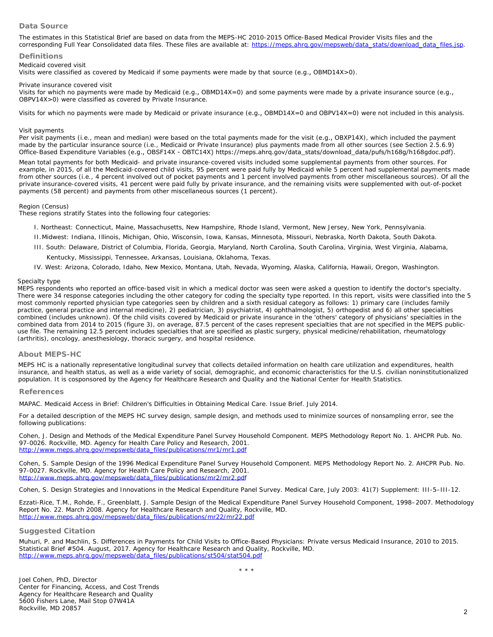# **Data Source**

The estimates in this Statistical Brief are based on data from the MEPS-HC 2010-2015 Office-Based Medical Provider Visits files and the corresponding Full Year Consolidated data files. These files are available at: [https://meps.ahrq.gov/mepsweb/data\\_stats/download\\_data\\_files.jsp](https://meps.ahrq.gov/mepsweb/data_stats/download_data_files.jsp).

#### **Definitions**

#### *Medicaid covered visit*

Visits were classified as covered by Medicaid if some payments were made by that source (e.g., OBMD14X>0).

#### *Private insurance covered visit*

Visits for which no payments were made by Medicaid (e.g., OBMD14X=0) and some payments were made by a private insurance source (e.g., OBPV14X>0) were classified as covered by Private Insurance.

Visits for which no payments were made by Medicaid or private insurance (e.g., OBMD14X=0 and OBPV14X=0) were not included in this analysis.

#### *Visit payments*

Per visit payments (i.e., mean and median) were based on the total payments made for the visit (e.g., OBXP14X), which included the payment made by the particular insurance source (i.e., Medicaid or Private Insurance) plus payments made from all other sources (see Section 2.5.6.9) Office-Based Expenditure Variables (e.g., OBSF14X - OBTC14X) [https://meps.ahrq.gov/data\\_stats/download\\_data/pufs/h168g/h168gdoc.pdf](https://meps.ahrq.gov/data_stats/download_data/pufs/h168g/h168gdoc.pdf)).

Mean total payments for both Medicaid- and private insurance-covered visits included some supplemental payments from other sources. For example, in 2015, of all the Medicaid-covered child visits, 95 percent were paid fully by Medicaid while 5 percent had supplemental payments made from other sources (i.e., 4 percent involved out of pocket payments and 1 percent involved payments from other miscellaneous sources). Of all the private insurance-covered visits, 41 percent were paid fully by private insurance, and the remaining visits were supplemented with out-of-pocket payments (58 percent) and payments from other miscellaneous sources (1 percent).

#### *Region (Census)*

These regions stratify States into the following four categories:

- I. Northeast: Connecticut, Maine, Massachusetts, New Hampshire, Rhode Island, Vermont, New Jersey, New York, Pennsylvania.
- II.Midwest: Indiana, Illinois, Michigan, Ohio, Wisconsin, Iowa, Kansas, Minnesota, Missouri, Nebraska, North Dakota, South Dakota.
- III. South: Delaware, District of Columbia, Florida, Georgia, Maryland, North Carolina, South Carolina, Virginia, West Virginia, Alabama, Kentucky, Mississippi, Tennessee, Arkansas, Louisiana, Oklahoma, Texas.
- IV. West: Arizona, Colorado, Idaho, New Mexico, Montana, Utah, Nevada, Wyoming, Alaska, California, Hawaii, Oregon, Washington.

#### *Specialty type*

MEPS respondents who reported an office-based visit in which a medical doctor was seen were asked a question to identify the doctor's specialty. There were 34 response categories including the other category for coding the specialty type reported. In this report, visits were classified into the 5 most commonly reported physician type categories seen by children and a sixth residual category as follows: 1) primary care (includes family practice, general practice and internal medicine), 2) pediatrician, 3) psychiatrist, 4) ophthalmologist, 5) orthopedist and 6) all other specialties combined (includes unknown). Of the child visits covered by Medicaid or private insurance in the 'others' category of physicians' specialties in the combined data from 2014 to 2015 (figure 3), on average, 87.5 percent of the cases represent specialties that are not specified in the MEPS publicuse file. The remaining 12.5 percent includes specialties that are specified as plastic surgery, physical medicine/rehabilitation, rheumatology (arthritis), oncology, anesthesiology, thoracic surgery, and hospital residence.

# **About MEPS-HC**

MEPS HC is a nationally representative longitudinal survey that collects detailed information on health care utilization and expenditures, health insurance, and health status, as well as a wide variety of social, demographic, and economic characteristics for the U.S. civilian noninstitutionalized population. It is cosponsored by the Agency for Healthcare Research and Quality and the National Center for Health Statistics.

#### **References**

*MAPAC. Medicaid Access in Brief: Children's Difficulties in Obtaining Medical Care*. Issue Brief. July 2014.

For a detailed description of the MEPS HC survey design, sample design, and methods used to minimize sources of nonsampling error, see the following publications:

Cohen, J. *Design and Methods of the Medical Expenditure Panel Survey Household Component. MEPS Methodology Report No. 1.* AHCPR Pub. No. 97-0026. Rockville, MD. Agency for Health Care Policy and Research, 2001. [http://www.meps.ahrq.gov/mepsweb/data\\_files/publications/mr1/mr1.pdf](http://www.meps.ahrq.gov/mepsweb/data_files/publications/mr1/mr1.pdf)

Cohen, S. *Sample Design of the 1996 Medical Expenditure Panel Survey Household Component. MEPS Methodology Report No. 2*. AHCPR Pub. No. 97-0027. Rockville, MD. Agency for Health Care Policy and Research, 2001. [http://www.meps.ahrq.gov/mepsweb/data\\_files/publications/mr2/mr2.pdf](http://www.meps.ahrq.gov/mepsweb/data_files/publications/mr2/mr2.pdf)

Cohen, S. Design Strategies and Innovations in the Medical Expenditure Panel Survey. *Medical Care*, July 2003: 41(7) Supplement: III-5–III-12.

Ezzati-Rice, T.M., Rohde, F., Greenblatt, J. *Sample Design of the Medical Expenditure Panel Survey Household Component, 1998–2007*. Methodology Report No. 22. March 2008. Agency for Healthcare Research and Quality, Rockville, MD. [http://www.meps.ahrq.gov/mepsweb/data\\_files/publications/mr22/mr22.pdf](http://www.meps.ahrq.gov/mepsweb/data_files/publications/mr22/mr22.pdf)

# **Suggested Citation**

Muhuri, P. and Machlin, S. *Differences in Payments for Child Visits to Office-Based Physicians: Private versus Medicaid Insurance, 2010 to 2015*. Statistical Brief #504. August, 2017. Agency for Healthcare Research and Quality, Rockville, MD. [http://www.meps.ahrq.gov/mepsweb/data\\_files/publications/st504/stat504.pd](http://www.meps.ahrq.gov/mepsweb/data_files/publications/st504/stat504.pdf)f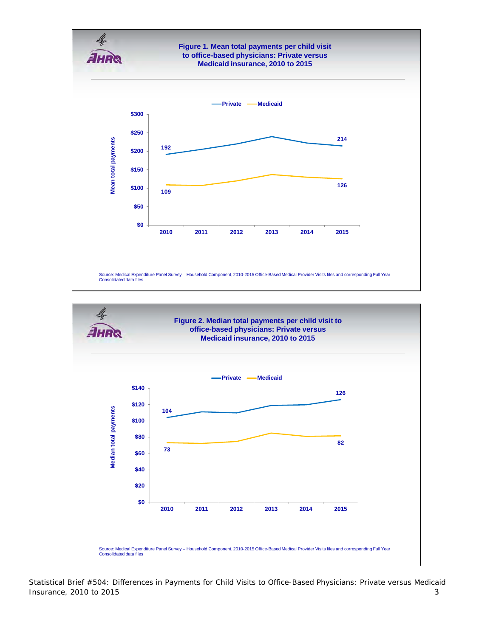



Statistical Brief #504: Differences in Payments for Child Visits to Office-Based Physicians: Private versus Medicaid Insurance, 2010 to 2015 3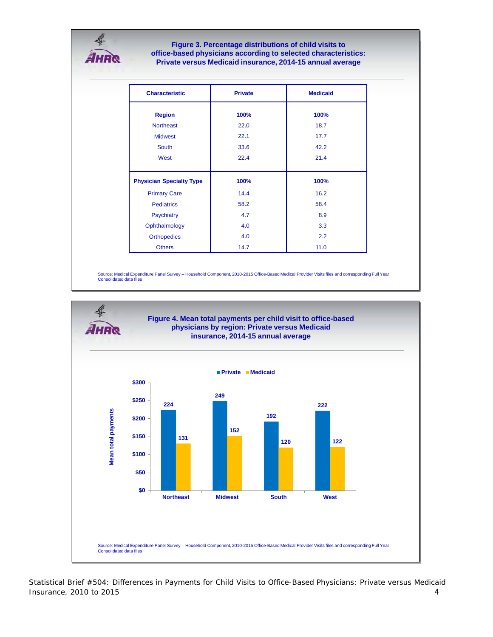# Ŀ **AHR®**

**Figure 3. Percentage distributions of child visits to Figure 3. Percentage distributions of child visits to office-based physicians according to selected characteristics: office-based physicians according to selected characteristics: Private versus Medicaid insurance, 2014-15 annual average Private versus Medicaid insurance, 2014-15 annual average**

| <b>Characteristic</b>           | <b>Private</b> | <b>Medicaid</b> |
|---------------------------------|----------------|-----------------|
| <b>Region</b>                   | 100%           | 100%            |
| <b>Northeast</b>                | 22.0           | 18.7            |
| <b>Midwest</b>                  | 22.1           | 17.7            |
| <b>South</b>                    | 33.6           | 42.2            |
| West                            | 22.4           | 21.4            |
|                                 |                |                 |
| <b>Physician Specialty Type</b> | 100%           | 100%            |
| <b>Primary Care</b>             | 14.4           | 16.2            |
| <b>Pediatrics</b>               | 58.2           | 58.4            |
| <b>Psychiatry</b>               | 4.7            | 8.9             |
| Ophthalmology                   | 4.0            | 3.3             |
| <b>Orthopedics</b>              | 4.0            | 2.2             |
| <b>Others</b>                   | 14.7           | 11.0            |

Source: Medical Expenditure Panel Survey – Household Component, 2010-2015 Office-Based Medical Provider Visits files and corresponding Full Year Consolidated data files Consolidated data files



Statistical Brief #504: Differences in Payments for Child Visits to Office-Based Physicians: Private versus Medicaid  $\blacksquare$  Insurance, 2010 to 2015  $\blacksquare$